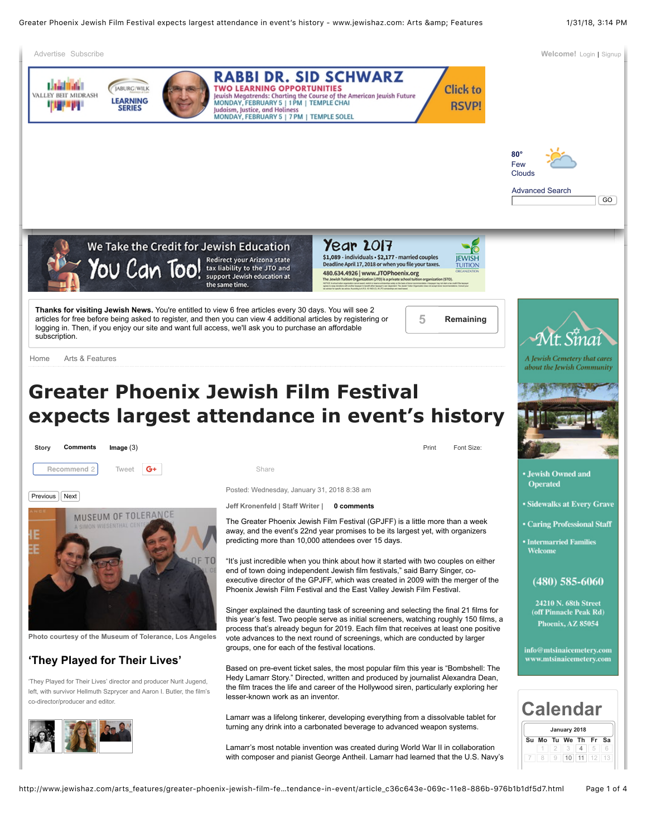## **Greater Phoenix Jewish Film Festival expects largest attendance in event's history**





**Photo courtesy of the Museum of Tolerance, Los Angeles**

## **'They Played for Their Lives'**

'They Played for Their Lives' director and producer Nurit Jugend, left, with survivor Hellmuth Szprycer and Aaron I. Butler, the film's co-director/producer and editor.



Print Font Size:

Posted: Wednesday, January 31, 2018 8:38 am

**Jeff Kronenfeld | Staff Writer | 0 comments**

The Greater Phoenix Jewish Film Festival (GPJFF) is a little more than a week away, and the event's 22nd year promises to be its largest yet, with organizers predicting more than 10,000 attendees over 15 days.

"It's just incredible when you think about how it started with two couples on either end of town doing independent Jewish film festivals," said Barry Singer, coexecutive director of the GPJFF, which was created in 2009 with the merger of the Phoenix Jewish Film Festival and the East Valley Jewish Film Festival.

Singer explained the daunting task of screening and selecting the final 21 films for this year's fest. Two people serve as initial screeners, watching roughly 150 films, a process that's already begun for 2019. Each film that receives at least one positive vote advances to the next round of screenings, which are conducted by larger groups, one for each of the festival locations.

Based on pre-event ticket sales, the most popular film this year is "Bombshell: The Hedy Lamarr Story." Directed, written and produced by journalist Alexandra Dean, the film traces the life and career of the Hollywood siren, particularly exploring her lesser-known work as an inventor.

Lamarr was a lifelong tinkerer, developing everything from a dissolvable tablet for turning any drink into a carbonated beverage to advanced weapon systems.

Lamarr's most notable invention was created during World War II in collaboration with composer and pianist George Antheil. Lamarr had learned that the U.S. Navy's